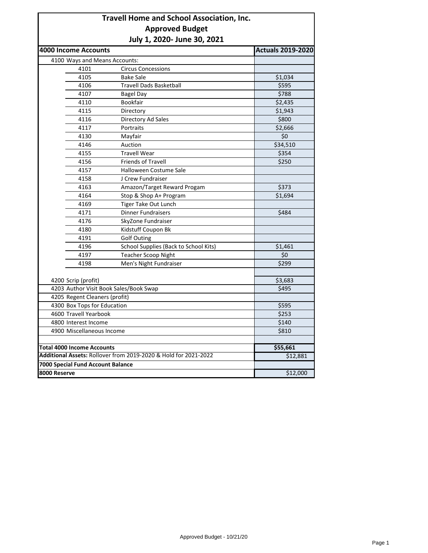## **Travell Home and School Association, Inc. Approved Budget July 1, 2020- June 30, 2021**

| <b>4000 Income Accounts</b>                                     |                                        | <b>Actuals 2019-2020</b> |  |
|-----------------------------------------------------------------|----------------------------------------|--------------------------|--|
| 4100 Ways and Means Accounts:                                   |                                        |                          |  |
| 4101                                                            | <b>Circus Concessions</b>              |                          |  |
| 4105                                                            | <b>Bake Sale</b>                       | \$1,034                  |  |
| 4106                                                            | <b>Travell Dads Basketball</b>         | \$595                    |  |
| 4107                                                            | Bagel Day                              | \$788                    |  |
| 4110                                                            | Bookfair                               | \$2,435                  |  |
| 4115                                                            | Directory                              | \$1,943                  |  |
| 4116                                                            | Directory Ad Sales                     | \$800                    |  |
| 4117                                                            | Portraits                              | \$2,666                  |  |
| 4130                                                            | Mayfair                                | \$0                      |  |
| 4146                                                            | Auction                                | \$34,510                 |  |
| 4155                                                            | <b>Travell Wear</b>                    | \$354                    |  |
| 4156                                                            | <b>Friends of Travell</b>              | \$250                    |  |
| 4157                                                            | Halloween Costume Sale                 |                          |  |
| 4158                                                            | J Crew Fundraiser                      |                          |  |
| 4163                                                            | Amazon/Target Reward Progam            | \$373                    |  |
| 4164                                                            | Stop & Shop A+ Program                 | \$1,694                  |  |
| 4169                                                            | Tiger Take Out Lunch                   |                          |  |
| 4171                                                            | <b>Dinner Fundraisers</b>              | \$484                    |  |
| 4176                                                            | SkyZone Fundraiser                     |                          |  |
| 4180                                                            | Kidstuff Coupon Bk                     |                          |  |
| 4191                                                            | <b>Golf Outing</b>                     |                          |  |
| 4196                                                            | School Supplies (Back to School Kits)  | \$1,461                  |  |
| 4197                                                            | <b>Teacher Scoop Night</b>             | \$0                      |  |
| 4198                                                            | Men's Night Fundraiser                 | \$299                    |  |
|                                                                 |                                        |                          |  |
| 4200 Scrip (profit)                                             |                                        | \$3,683                  |  |
|                                                                 | 4203 Author Visit Book Sales/Book Swap | \$495                    |  |
| 4205 Regent Cleaners (profit)                                   |                                        | \$595                    |  |
|                                                                 | 4300 Box Tops for Education            |                          |  |
| 4600 Travell Yearbook                                           | \$253                                  |                          |  |
| 4800 Interest Income                                            | \$140                                  |                          |  |
| 4900 Miscellaneous Income                                       | \$810                                  |                          |  |
| <b>Total 4000 Income Accounts</b>                               |                                        |                          |  |
| Additional Assets: Rollover from 2019-2020 & Hold for 2021-2022 | \$55,661<br>\$12,881                   |                          |  |
| 7000 Special Fund Account Balance                               |                                        |                          |  |
| 8000 Reserve                                                    | \$12,000                               |                          |  |
|                                                                 |                                        |                          |  |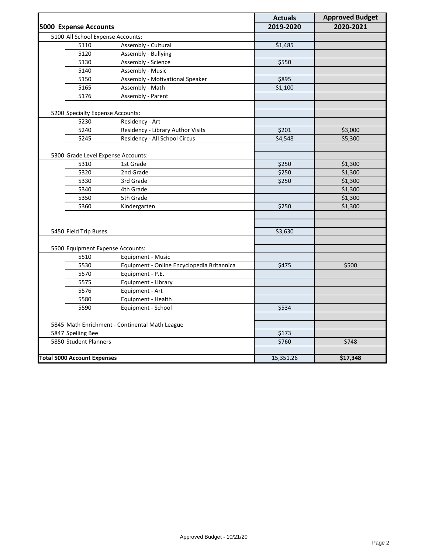|                                                |                                            | <b>Actuals</b> | <b>Approved Budget</b> |
|------------------------------------------------|--------------------------------------------|----------------|------------------------|
| <b>5000 Expense Accounts</b>                   |                                            | 2019-2020      | 2020-2021              |
| 5100 All School Expense Accounts:              |                                            |                |                        |
| 5110                                           | Assembly - Cultural                        | \$1,485        |                        |
| 5120                                           | Assembly - Bullying                        |                |                        |
| 5130                                           | Assembly - Science                         | \$550          |                        |
| 5140                                           | Assembly - Music                           |                |                        |
| 5150                                           | Assembly - Motivational Speaker            | \$895          |                        |
| 5165                                           | Assembly - Math                            | \$1,100        |                        |
| 5176                                           | Assembly - Parent                          |                |                        |
| 5200 Specialty Expense Accounts:               |                                            |                |                        |
| 5230                                           | Residency - Art                            |                |                        |
| 5240                                           | Residency - Library Author Visits          | \$201          | \$3,000                |
| 5245                                           | Residency - All School Circus              | \$4,548        | \$5,300                |
|                                                |                                            |                |                        |
| 5300 Grade Level Expense Accounts:             |                                            |                |                        |
| 5310                                           | 1st Grade                                  | \$250          | \$1,300                |
| 5320                                           | 2nd Grade                                  | \$250          | \$1,300                |
| 5330                                           | 3rd Grade                                  | \$250          | \$1,300                |
| 5340                                           | 4th Grade                                  |                | \$1,300                |
| 5350                                           | 5th Grade                                  |                | \$1,300                |
| 5360                                           | Kindergarten                               | \$250          | \$1,300                |
|                                                |                                            |                |                        |
|                                                |                                            |                |                        |
| 5450 Field Trip Buses                          |                                            | \$3,630        |                        |
|                                                |                                            |                |                        |
| 5500 Equipment Expense Accounts:               |                                            |                |                        |
| 5510                                           | Equipment - Music                          |                |                        |
| 5530                                           | Equipment - Online Encyclopedia Britannica | \$475          | \$500                  |
| 5570                                           | Equipment - P.E.                           |                |                        |
| 5575                                           | Equipment - Library                        |                |                        |
| 5576                                           | Equipment - Art                            |                |                        |
| 5580                                           | Equipment - Health                         |                |                        |
| 5590                                           | Equipment - School                         | \$534          |                        |
|                                                |                                            |                |                        |
| 5845 Math Enrichment - Continental Math League |                                            |                |                        |
| 5847 Spelling Bee                              |                                            | \$173          |                        |
| 5850 Student Planners                          |                                            | \$760          | \$748                  |
| <b>Total 5000 Account Expenses</b>             |                                            | 15,351.26      | \$17,348               |
|                                                |                                            |                |                        |